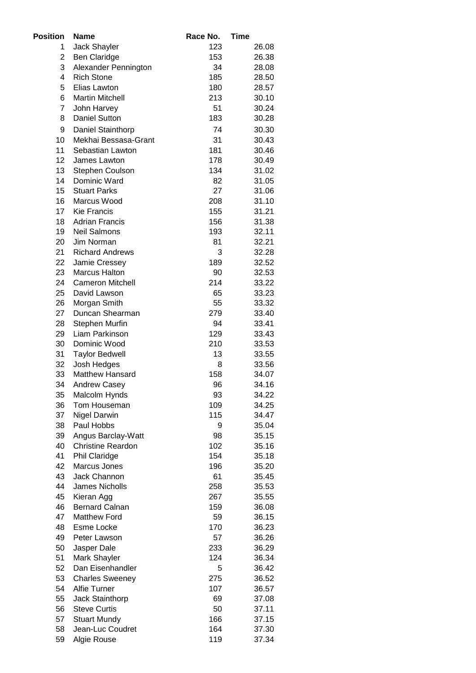| <b>Position</b> | <b>Name</b>                             | Race No. | Time           |
|-----------------|-----------------------------------------|----------|----------------|
| 1               | Jack Shayler                            | 123      | 26.08          |
| 2               | <b>Ben Claridge</b>                     | 153      | 26.38          |
| 3               | Alexander Pennington                    | 34       | 28.08          |
| 4               | <b>Rich Stone</b>                       | 185      | 28.50          |
| 5               | Elias Lawton                            | 180      | 28.57          |
| 6               | <b>Martin Mitchell</b>                  | 213      | 30.10          |
| 7               | John Harvey                             | 51       | 30.24          |
| 8               | <b>Daniel Sutton</b>                    | 183      | 30.28          |
| 9               | Daniel Stainthorp                       | 74       | 30.30          |
| 10              | Mekhai Bessasa-Grant                    | 31       | 30.43          |
| 11              | Sebastian Lawton                        | 181      | 30.46          |
| 12              | James Lawton                            | 178      | 30.49          |
| 13              | Stephen Coulson                         | 134      | 31.02          |
| 14              | Dominic Ward                            | 82       | 31.05          |
| 15              | <b>Stuart Parks</b>                     | 27       | 31.06          |
| 16              | Marcus Wood                             | 208      | 31.10          |
| 17              | <b>Kie Francis</b>                      | 155      | 31.21          |
| 18              | <b>Adrian Francis</b>                   | 156      | 31.38          |
| 19              | <b>Neil Salmons</b>                     | 193      | 32.11          |
| 20              | Jim Norman                              | 81       | 32.21          |
| 21              | <b>Richard Andrews</b>                  | 3        | 32.28          |
| 22              | Jamie Cressey                           | 189      | 32.52          |
| 23              | <b>Marcus Halton</b>                    | 90       | 32.53          |
| 24              | <b>Cameron Mitchell</b>                 | 214      | 33.22          |
| 25              | David Lawson                            | 65       | 33.23          |
| 26              | Morgan Smith                            | 55       | 33.32          |
| 27              | Duncan Shearman                         | 279      | 33.40          |
| 28              | Stephen Murfin                          | 94       | 33.41          |
| 29              | Liam Parkinson                          | 129      | 33.43          |
| 30              | Dominic Wood                            | 210      | 33.53          |
| 31              | <b>Taylor Bedwell</b>                   | 13       | 33.55          |
| 32              | Josh Hedges                             | 8        | 33.56          |
| 33              | <b>Matthew Hansard</b>                  | 158      | 34.07          |
| 34              | <b>Andrew Casey</b>                     | 96       | 34.16          |
| 35              | Malcolm Hynds                           | 93       | 34.22          |
| 36              | Tom Houseman                            | 109      | 34.25          |
| 37              | <b>Nigel Darwin</b>                     | 115      | 34.47          |
| 38              | Paul Hobbs                              | 9        | 35.04          |
| 39              | Angus Barclay-Watt                      | 98       | 35.15          |
| 40              | <b>Christine Reardon</b>                | 102      | 35.16          |
| 41              | Phil Claridge                           | 154      | 35.18          |
| 42              | Marcus Jones                            | 196      | 35.20          |
| 43              | Jack Channon                            | 61       | 35.45          |
| 44              | <b>James Nicholls</b>                   | 258      | 35.53          |
| 45              | Kieran Agg                              | 267      | 35.55          |
| 46              | <b>Bernard Calnan</b>                   | 159      | 36.08          |
| 47              | <b>Matthew Ford</b>                     | 59       | 36.15          |
| 48              | Esme Locke                              | 170      | 36.23          |
| 49              | Peter Lawson                            | 57       | 36.26          |
| 50              | Jasper Dale                             | 233      | 36.29          |
| 51              | Mark Shayler                            | 124      | 36.34          |
| 52              | Dan Eisenhandler                        | 5        | 36.42          |
| 53              | <b>Charles Sweeney</b>                  | 275      | 36.52          |
| 54              | <b>Alfie Turner</b>                     | 107      | 36.57          |
| 55<br>56        | Jack Stainthorp                         | 69<br>50 | 37.08          |
| 57              | <b>Steve Curtis</b>                     | 166      | 37.11          |
| 58              | <b>Stuart Mundy</b><br>Jean-Luc Coudret | 164      | 37.15<br>37.30 |
| 59              | Algie Rouse                             | 119      | 37.34          |
|                 |                                         |          |                |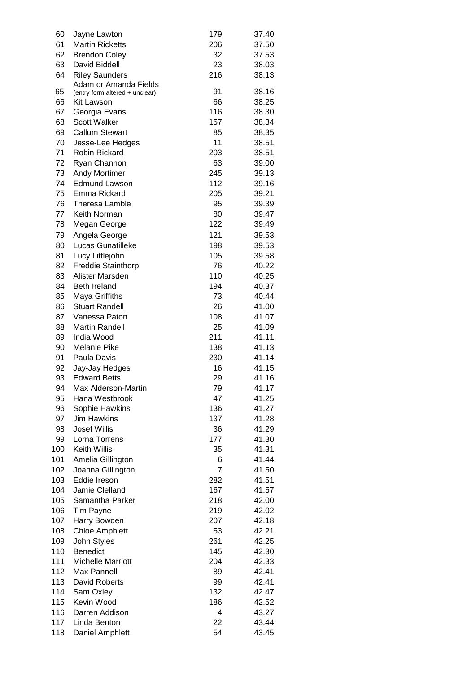| 60  | Jayne Lawton                   | 179            | 37.40 |
|-----|--------------------------------|----------------|-------|
| 61  | <b>Martin Ricketts</b>         | 206            | 37.50 |
| 62  | <b>Brendon Coley</b>           | 32             | 37.53 |
| 63  | David Biddell                  | 23             | 38.03 |
| 64  | <b>Riley Saunders</b>          | 216            | 38.13 |
|     | Adam or Amanda Fields          |                |       |
| 65  | (entry form altered + unclear) | 91             | 38.16 |
| 66  | Kit Lawson                     | 66             | 38.25 |
| 67  | Georgia Evans                  | 116            | 38.30 |
| 68  | <b>Scott Walker</b>            | 157            | 38.34 |
| 69  | <b>Callum Stewart</b>          | 85             | 38.35 |
| 70  | Jesse-Lee Hedges               | 11             | 38.51 |
| 71  | Robin Rickard                  | 203            | 38.51 |
| 72  | Ryan Channon                   | 63             | 39.00 |
| 73  | <b>Andy Mortimer</b>           | 245            | 39.13 |
| 74  | <b>Edmund Lawson</b>           | 112            | 39.16 |
| 75  | Emma Rickard                   | 205            | 39.21 |
| 76  | Theresa Lamble                 | 95             | 39.39 |
| 77  | Keith Norman                   | 80             | 39.47 |
| 78  | Megan George                   | 122            | 39.49 |
| 79  | Angela George                  | 121            | 39.53 |
| 80  | <b>Lucas Gunatilleke</b>       | 198            | 39.53 |
| 81  | Lucy Littlejohn                | 105            | 39.58 |
| 82  | <b>Freddie Stainthorp</b>      | 76             | 40.22 |
| 83  | Alister Marsden                | 110            | 40.25 |
|     |                                |                |       |
| 84  | <b>Beth Ireland</b>            | 194            | 40.37 |
| 85  | Maya Griffiths                 | 73             | 40.44 |
| 86  | <b>Stuart Randell</b>          | 26             | 41.00 |
| 87  | Vanessa Paton                  | 108            | 41.07 |
| 88  | <b>Martin Randell</b>          | 25             | 41.09 |
| 89  | India Wood                     | 211            | 41.11 |
| 90  | Melanie Pike                   | 138            | 41.13 |
| 91  | Paula Davis                    | 230            | 41.14 |
| 92  | Jay-Jay Hedges                 | 16             | 41.15 |
| 93  | <b>Edward Betts</b>            | 29             | 41.16 |
| 94  | Max Alderson-Martin            | 79             | 41.17 |
| 95  | Hana Westbrook                 | 47             | 41.25 |
| 96  | Sophie Hawkins                 | 136            | 41.27 |
| 97  | <b>Jim Hawkins</b>             | 137            | 41.28 |
| 98  | <b>Josef Willis</b>            | 36             | 41.29 |
| 99  | Lorna Torrens                  | 177            | 41.30 |
| 100 | <b>Keith Willis</b>            | 35             | 41.31 |
| 101 | Amelia Gillington              | 6              | 41.44 |
| 102 | Joanna Gillington              | $\overline{7}$ | 41.50 |
| 103 | Eddie Ireson                   | 282            | 41.51 |
| 104 | Jamie Clelland                 | 167            | 41.57 |
| 105 | Samantha Parker                | 218            | 42.00 |
| 106 | <b>Tim Payne</b>               | 219            | 42.02 |
| 107 | Harry Bowden                   | 207            | 42.18 |
| 108 | <b>Chloe Amphlett</b>          | 53             | 42.21 |
| 109 | John Styles                    | 261            | 42.25 |
| 110 | <b>Benedict</b>                | 145            | 42.30 |
| 111 | <b>Michelle Marriott</b>       | 204            | 42.33 |
| 112 | Max Pannell                    | 89             | 42.41 |
| 113 | <b>David Roberts</b>           | 99             | 42.41 |
| 114 | Sam Oxley                      | 132            | 42.47 |
| 115 | Kevin Wood                     | 186            | 42.52 |
| 116 | Darren Addison                 | 4              | 43.27 |
| 117 | Linda Benton                   | 22             | 43.44 |
| 118 | Daniel Amphlett                | 54             | 43.45 |
|     |                                |                |       |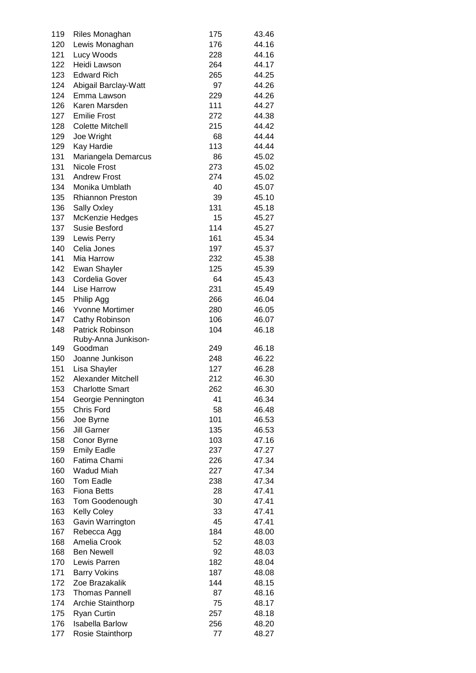| 119 | Riles Monaghan          | 175 | 43.46 |
|-----|-------------------------|-----|-------|
| 120 | Lewis Monaghan          | 176 | 44.16 |
| 121 | Lucy Woods              | 228 | 44.16 |
| 122 | Heidi Lawson            | 264 | 44.17 |
| 123 | <b>Edward Rich</b>      | 265 | 44.25 |
| 124 | Abigail Barclay-Watt    | 97  | 44.26 |
| 124 | Emma Lawson             | 229 | 44.26 |
| 126 | Karen Marsden           | 111 | 44.27 |
| 127 | <b>Emilie Frost</b>     | 272 | 44.38 |
| 128 | <b>Colette Mitchell</b> | 215 | 44.42 |
| 129 | Joe Wright              | 68  | 44.44 |
| 129 | Kay Hardie              | 113 | 44.44 |
| 131 | Mariangela Demarcus     | 86  | 45.02 |
| 131 | <b>Nicole Frost</b>     | 273 | 45.02 |
| 131 | <b>Andrew Frost</b>     | 274 | 45.02 |
| 134 | Monika Umblath          | 40  | 45.07 |
| 135 | <b>Rhiannon Preston</b> | 39  | 45.10 |
|     |                         | 131 |       |
| 136 | Sally Oxley             |     | 45.18 |
| 137 | McKenzie Hedges         | 15  | 45.27 |
| 137 | Susie Besford           | 114 | 45.27 |
| 139 | Lewis Perry             | 161 | 45.34 |
| 140 | Celia Jones             | 197 | 45.37 |
| 141 | Mia Harrow              | 232 | 45.38 |
| 142 | Ewan Shayler            | 125 | 45.39 |
| 143 | Cordelia Gover          | 64  | 45.43 |
| 144 | Lise Harrow             | 231 | 45.49 |
| 145 | Philip Agg              | 266 | 46.04 |
| 146 | Yvonne Mortimer         | 280 | 46.05 |
| 147 | Cathy Robinson          | 106 | 46.07 |
| 148 | Patrick Robinson        | 104 | 46.18 |
|     | Ruby-Anna Junkison-     |     |       |
| 149 | Goodman                 | 249 | 46.18 |
| 150 | Joanne Junkison         | 248 | 46.22 |
| 151 | Lisa Shayler            | 127 | 46.28 |
| 152 | Alexander Mitchell      | 212 | 46.30 |
| 153 | <b>Charlotte Smart</b>  | 262 | 46.30 |
| 154 | Georgie Pennington      | 41  | 46.34 |
| 155 | <b>Chris Ford</b>       | 58  | 46.48 |
| 156 | Joe Byrne               | 101 | 46.53 |
| 156 | <b>Jill Garner</b>      | 135 | 46.53 |
| 158 | Conor Byrne             | 103 | 47.16 |
| 159 | <b>Emily Eadle</b>      | 237 | 47.27 |
| 160 | Fatima Chami            | 226 | 47.34 |
| 160 | <b>Wadud Miah</b>       | 227 | 47.34 |
| 160 | Tom Eadle               | 238 | 47.34 |
| 163 | <b>Fiona Betts</b>      | 28  | 47.41 |
| 163 | Tom Goodenough          | 30  | 47.41 |
| 163 | <b>Kelly Coley</b>      | 33  | 47.41 |
| 163 | Gavin Warrington        | 45  | 47.41 |
| 167 | Rebecca Agg             | 184 | 48.00 |
| 168 | Amelia Crook            | 52  | 48.03 |
| 168 | <b>Ben Newell</b>       | 92  | 48.03 |
| 170 | Lewis Parren            | 182 | 48.04 |
| 171 | <b>Barry Vokins</b>     | 187 | 48.08 |
| 172 |                         | 144 | 48.15 |
|     | Zoe Brazakalik          |     |       |
| 173 | <b>Thomas Pannell</b>   | 87  | 48.16 |
| 174 | Archie Stainthorp       | 75  | 48.17 |
| 175 | <b>Ryan Curtin</b>      | 257 | 48.18 |
| 176 | <b>Isabella Barlow</b>  | 256 | 48.20 |
| 177 | Rosie Stainthorp        | 77  | 48.27 |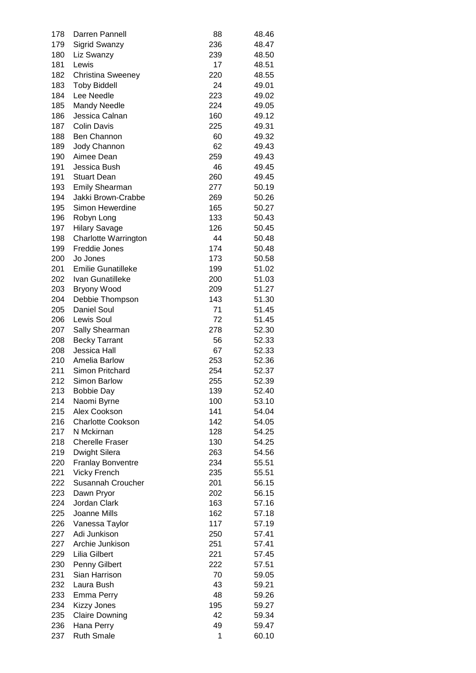| 178 | Darren Pannell              | 88  | 48.46 |
|-----|-----------------------------|-----|-------|
| 179 | Sigrid Swanzy               | 236 | 48.47 |
| 180 | Liz Swanzy                  | 239 | 48.50 |
| 181 | Lewis                       | 17  | 48.51 |
| 182 | <b>Christina Sweeney</b>    | 220 | 48.55 |
| 183 | <b>Toby Biddell</b>         | 24  | 49.01 |
| 184 | Lee Needle                  | 223 | 49.02 |
| 185 | <b>Mandy Needle</b>         | 224 | 49.05 |
| 186 | Jessica Calnan              | 160 | 49.12 |
| 187 | <b>Colin Davis</b>          | 225 | 49.31 |
| 188 | Ben Channon                 | 60  | 49.32 |
|     |                             |     |       |
| 189 | Jody Channon                | 62  | 49.43 |
| 190 | Aimee Dean                  | 259 | 49.43 |
| 191 | Jessica Bush                | 46  | 49.45 |
| 191 | <b>Stuart Dean</b>          | 260 | 49.45 |
| 193 | <b>Emily Shearman</b>       | 277 | 50.19 |
| 194 | Jakki Brown-Crabbe          | 269 | 50.26 |
| 195 | Simon Hewerdine             | 165 | 50.27 |
| 196 | Robyn Long                  | 133 | 50.43 |
| 197 | <b>Hilary Savage</b>        | 126 | 50.45 |
| 198 | <b>Charlotte Warrington</b> | 44  | 50.48 |
| 199 | Freddie Jones               | 174 | 50.48 |
| 200 | Jo Jones                    | 173 | 50.58 |
| 201 | <b>Emilie Gunatilleke</b>   | 199 | 51.02 |
| 202 | Ivan Gunatilleke            | 200 | 51.03 |
| 203 | Bryony Wood                 | 209 | 51.27 |
| 204 | Debbie Thompson             | 143 | 51.30 |
| 205 | <b>Daniel Soul</b>          | 71  | 51.45 |
| 206 | Lewis Soul                  | 72  | 51.45 |
| 207 | Sally Shearman              | 278 | 52.30 |
| 208 | <b>Becky Tarrant</b>        | 56  | 52.33 |
| 208 | Jessica Hall                | 67  | 52.33 |
| 210 | Amelia Barlow               | 253 | 52.36 |
| 211 | Simon Pritchard             | 254 | 52.37 |
| 212 | Simon Barlow                | 255 | 52.39 |
|     |                             |     |       |
| 213 | <b>Bobbie Day</b>           | 139 | 52.40 |
| 214 | Naomi Byrne                 | 100 | 53.10 |
| 215 | Alex Cookson                | 141 | 54.04 |
| 216 | <b>Charlotte Cookson</b>    | 142 | 54.05 |
| 217 | N Mckirnan                  | 128 | 54.25 |
| 218 | <b>Cherelle Fraser</b>      | 130 | 54.25 |
| 219 | <b>Dwight Silera</b>        | 263 | 54.56 |
| 220 | <b>Franlay Bonventre</b>    | 234 | 55.51 |
| 221 | <b>Vicky French</b>         | 235 | 55.51 |
| 222 | Susannah Croucher           | 201 | 56.15 |
| 223 | Dawn Pryor                  | 202 | 56.15 |
| 224 | Jordan Clark                | 163 | 57.16 |
| 225 | Joanne Mills                | 162 | 57.18 |
| 226 | Vanessa Taylor              | 117 | 57.19 |
| 227 | Adi Junkison                | 250 | 57.41 |
| 227 | Archie Junkison             | 251 | 57.41 |
| 229 | Lilia Gilbert               | 221 | 57.45 |
| 230 | Penny Gilbert               | 222 | 57.51 |
| 231 | Sian Harrison               | 70  | 59.05 |
| 232 | Laura Bush                  | 43  | 59.21 |
| 233 | Emma Perry                  | 48  | 59.26 |
| 234 | <b>Kizzy Jones</b>          | 195 | 59.27 |
| 235 | <b>Claire Downing</b>       | 42  | 59.34 |
| 236 | Hana Perry                  | 49  | 59.47 |
|     |                             | 1   |       |
| 237 | <b>Ruth Smale</b>           |     | 60.10 |